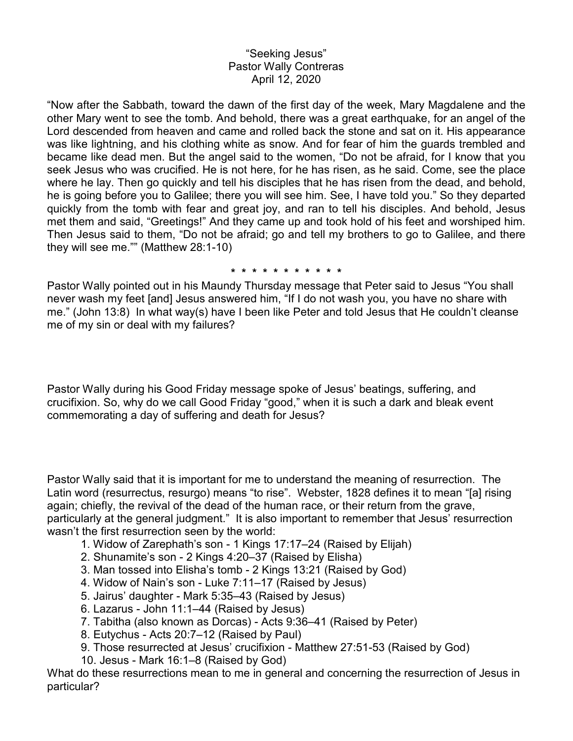## "Seeking Jesus" Pastor Wally Contreras April 12, 2020

"Now after the Sabbath, toward the dawn of the first day of the week, Mary Magdalene and the other Mary went to see the tomb. And behold, there was a great earthquake, for an angel of the Lord descended from heaven and came and rolled back the stone and sat on it. His appearance was like lightning, and his clothing white as snow. And for fear of him the guards trembled and became like dead men. But the angel said to the women, "Do not be afraid, for I know that you seek Jesus who was crucified. He is not here, for he has risen, as he said. Come, see the place where he lay. Then go quickly and tell his disciples that he has risen from the dead, and behold, he is going before you to Galilee; there you will see him. See, I have told you." So they departed quickly from the tomb with fear and great joy, and ran to tell his disciples. And behold, Jesus met them and said, "Greetings!" And they came up and took hold of his feet and worshiped him. Then Jesus said to them, "Do not be afraid; go and tell my brothers to go to Galilee, and there they will see me."" (Matthew 28:1-10)

## **\* \* \* \* \* \* \* \* \* \* \***

Pastor Wally pointed out in his Maundy Thursday message that Peter said to Jesus "You shall never wash my feet [and] Jesus answered him, "If I do not wash you, you have no share with me." (John 13:8) In what way(s) have I been like Peter and told Jesus that He couldn't cleanse me of my sin or deal with my failures?

Pastor Wally during his Good Friday message spoke of Jesus' beatings, suffering, and crucifixion. So, why do we call Good Friday "good," when it is such a dark and bleak event commemorating a day of suffering and death for Jesus?

Pastor Wally said that it is important for me to understand the meaning of resurrection. The Latin word (resurrectus, resurgo) means "to rise". Webster, 1828 defines it to mean "[a] rising again; chiefly, the revival of the dead of the human race, or their return from the grave, particularly at the general judgment." It is also important to remember that Jesus' resurrection wasn't the first resurrection seen by the world:

- 1. Widow of Zarephath's son 1 Kings 17:17–24 (Raised by Elijah)
- 2. Shunamite's son 2 Kings 4:20–37 (Raised by Elisha)
- 3. Man tossed into Elisha's tomb 2 Kings 13:21 (Raised by God)
- 4. Widow of Nain's son Luke 7:11–17 (Raised by Jesus)
- 5. Jairus' daughter Mark 5:35–43 (Raised by Jesus)
- 6. Lazarus John 11:1–44 (Raised by Jesus)
- 7. Tabitha (also known as Dorcas) Acts 9:36–41 (Raised by Peter)
- 8. Eutychus Acts 20:7–12 (Raised by Paul)
- 9. Those resurrected at Jesus' crucifixion Matthew 27:51-53 (Raised by God)
- 10. Jesus Mark 16:1–8 (Raised by God)

What do these resurrections mean to me in general and concerning the resurrection of Jesus in particular?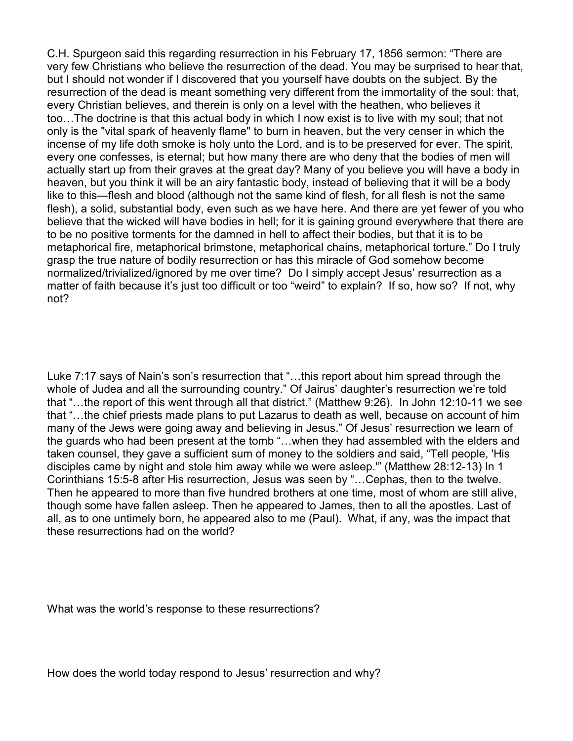C.H. Spurgeon said this regarding resurrection in his February 17, 1856 sermon: "There are very few Christians who believe the resurrection of the dead. You may be surprised to hear that, but I should not wonder if I discovered that you yourself have doubts on the subject. By the resurrection of the dead is meant something very different from the immortality of the soul: that, every Christian believes, and therein is only on a level with the heathen, who believes it too…The doctrine is that this actual body in which I now exist is to live with my soul; that not only is the "vital spark of heavenly flame" to burn in heaven, but the very censer in which the incense of my life doth smoke is holy unto the Lord, and is to be preserved for ever. The spirit, every one confesses, is eternal; but how many there are who deny that the bodies of men will actually start up from their graves at the great day? Many of you believe you will have a body in heaven, but you think it will be an airy fantastic body, instead of believing that it will be a body like to this—flesh and blood (although not the same kind of flesh, for all flesh is not the same flesh), a solid, substantial body, even such as we have here. And there are yet fewer of you who believe that the wicked will have bodies in hell; for it is gaining ground everywhere that there are to be no positive torments for the damned in hell to affect their bodies, but that it is to be metaphorical fire, metaphorical brimstone, metaphorical chains, metaphorical torture." Do I truly grasp the true nature of bodily resurrection or has this miracle of God somehow become normalized/trivialized/ignored by me over time? Do I simply accept Jesus' resurrection as a matter of faith because it's just too difficult or too "weird" to explain? If so, how so? If not, why not?

Luke 7:17 says of Nain's son's resurrection that "…this report about him spread through the whole of Judea and all the surrounding country." Of Jairus' daughter's resurrection we're told that "…the report of this went through all that district." (Matthew 9:26). In John 12:10-11 we see that "…the chief priests made plans to put Lazarus to death as well, because on account of him many of the Jews were going away and believing in Jesus." Of Jesus' resurrection we learn of the guards who had been present at the tomb "…when they had assembled with the elders and taken counsel, they gave a sufficient sum of money to the soldiers and said, "Tell people, 'His disciples came by night and stole him away while we were asleep.'" (Matthew 28:12-13) In 1 Corinthians 15:5-8 after His resurrection, Jesus was seen by "…Cephas, then to the twelve. Then he appeared to more than five hundred brothers at one time, most of whom are still alive, though some have fallen asleep. Then he appeared to James, then to all the apostles. Last of all, as to one untimely born, he appeared also to me (Paul). What, if any, was the impact that these resurrections had on the world?

What was the world's response to these resurrections?

How does the world today respond to Jesus' resurrection and why?